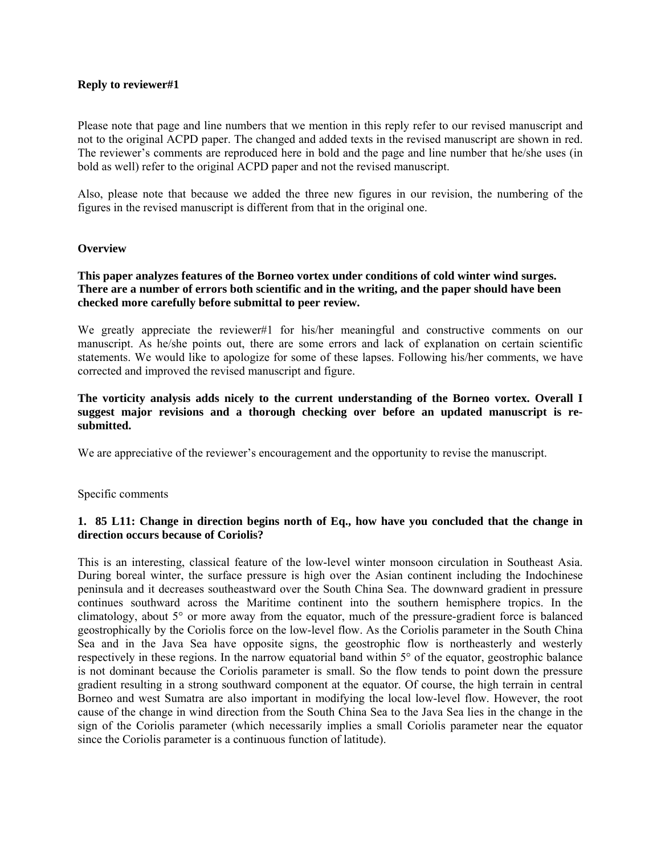#### **Reply to reviewer#1**

Please note that page and line numbers that we mention in this reply refer to our revised manuscript and not to the original ACPD paper. The changed and added texts in the revised manuscript are shown in red. The reviewer's comments are reproduced here in bold and the page and line number that he/she uses (in bold as well) refer to the original ACPD paper and not the revised manuscript.

Also, please note that because we added the three new figures in our revision, the numbering of the figures in the revised manuscript is different from that in the original one.

#### **Overview**

### **This paper analyzes features of the Borneo vortex under conditions of cold winter wind surges. There are a number of errors both scientific and in the writing, and the paper should have been checked more carefully before submittal to peer review.**

We greatly appreciate the reviewer#1 for his/her meaningful and constructive comments on our manuscript. As he/she points out, there are some errors and lack of explanation on certain scientific statements. We would like to apologize for some of these lapses. Following his/her comments, we have corrected and improved the revised manuscript and figure.

#### **The vorticity analysis adds nicely to the current understanding of the Borneo vortex. Overall I suggest major revisions and a thorough checking over before an updated manuscript is resubmitted.**

We are appreciative of the reviewer's encouragement and the opportunity to revise the manuscript.

Specific comments

# **1. 85 L11: Change in direction begins north of Eq., how have you concluded that the change in direction occurs because of Coriolis?**

This is an interesting, classical feature of the low-level winter monsoon circulation in Southeast Asia. During boreal winter, the surface pressure is high over the Asian continent including the Indochinese peninsula and it decreases southeastward over the South China Sea. The downward gradient in pressure continues southward across the Maritime continent into the southern hemisphere tropics. In the climatology, about 5° or more away from the equator, much of the pressure-gradient force is balanced geostrophically by the Coriolis force on the low-level flow. As the Coriolis parameter in the South China Sea and in the Java Sea have opposite signs, the geostrophic flow is northeasterly and westerly respectively in these regions. In the narrow equatorial band within 5° of the equator, geostrophic balance is not dominant because the Coriolis parameter is small. So the flow tends to point down the pressure gradient resulting in a strong southward component at the equator. Of course, the high terrain in central Borneo and west Sumatra are also important in modifying the local low-level flow. However, the root cause of the change in wind direction from the South China Sea to the Java Sea lies in the change in the sign of the Coriolis parameter (which necessarily implies a small Coriolis parameter near the equator since the Coriolis parameter is a continuous function of latitude).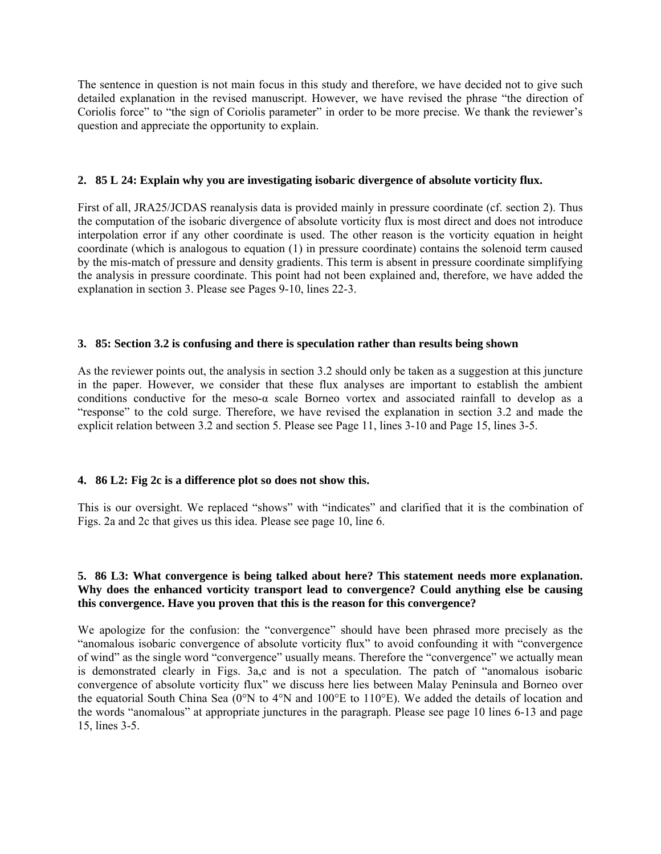The sentence in question is not main focus in this study and therefore, we have decided not to give such detailed explanation in the revised manuscript. However, we have revised the phrase "the direction of Coriolis force" to "the sign of Coriolis parameter" in order to be more precise. We thank the reviewer's question and appreciate the opportunity to explain.

#### **2. 85 L 24: Explain why you are investigating isobaric divergence of absolute vorticity flux.**

First of all, JRA25/JCDAS reanalysis data is provided mainly in pressure coordinate (cf. section 2). Thus the computation of the isobaric divergence of absolute vorticity flux is most direct and does not introduce interpolation error if any other coordinate is used. The other reason is the vorticity equation in height coordinate (which is analogous to equation (1) in pressure coordinate) contains the solenoid term caused by the mis-match of pressure and density gradients. This term is absent in pressure coordinate simplifying the analysis in pressure coordinate. This point had not been explained and, therefore, we have added the explanation in section 3. Please see Pages 9-10, lines 22-3.

#### **3. 85: Section 3.2 is confusing and there is speculation rather than results being shown**

As the reviewer points out, the analysis in section 3.2 should only be taken as a suggestion at this juncture in the paper. However, we consider that these flux analyses are important to establish the ambient conditions conductive for the meso-α scale Borneo vortex and associated rainfall to develop as a "response" to the cold surge. Therefore, we have revised the explanation in section 3.2 and made the explicit relation between 3.2 and section 5. Please see Page 11, lines 3-10 and Page 15, lines 3-5.

# **4. 86 L2: Fig 2c is a difference plot so does not show this.**

This is our oversight. We replaced "shows" with "indicates" and clarified that it is the combination of Figs. 2a and 2c that gives us this idea. Please see page 10, line 6.

# **5. 86 L3: What convergence is being talked about here? This statement needs more explanation. Why does the enhanced vorticity transport lead to convergence? Could anything else be causing this convergence. Have you proven that this is the reason for this convergence?**

We apologize for the confusion: the "convergence" should have been phrased more precisely as the "anomalous isobaric convergence of absolute vorticity flux" to avoid confounding it with "convergence of wind" as the single word "convergence" usually means. Therefore the "convergence" we actually mean is demonstrated clearly in Figs. 3a,c and is not a speculation. The patch of "anomalous isobaric convergence of absolute vorticity flux" we discuss here lies between Malay Peninsula and Borneo over the equatorial South China Sea (0°N to 4°N and 100°E to 110°E). We added the details of location and the words "anomalous" at appropriate junctures in the paragraph. Please see page 10 lines 6-13 and page 15, lines 3-5.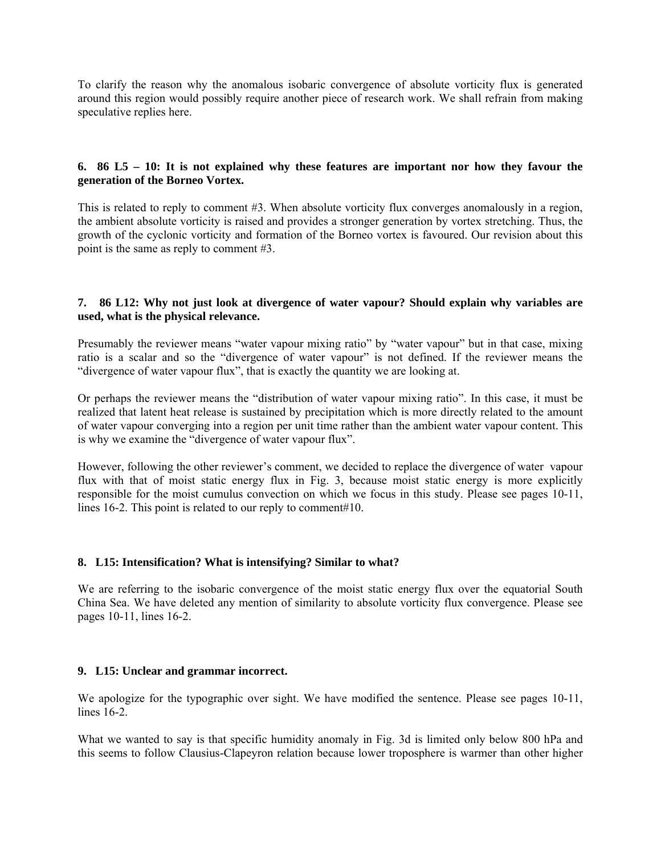To clarify the reason why the anomalous isobaric convergence of absolute vorticity flux is generated around this region would possibly require another piece of research work. We shall refrain from making speculative replies here.

# **6. 86 L5 – 10: It is not explained why these features are important nor how they favour the generation of the Borneo Vortex.**

This is related to reply to comment #3. When absolute vorticity flux converges anomalously in a region, the ambient absolute vorticity is raised and provides a stronger generation by vortex stretching. Thus, the growth of the cyclonic vorticity and formation of the Borneo vortex is favoured. Our revision about this point is the same as reply to comment #3.

# **7. 86 L12: Why not just look at divergence of water vapour? Should explain why variables are used, what is the physical relevance.**

Presumably the reviewer means "water vapour mixing ratio" by "water vapour" but in that case, mixing ratio is a scalar and so the "divergence of water vapour" is not defined. If the reviewer means the "divergence of water vapour flux", that is exactly the quantity we are looking at.

Or perhaps the reviewer means the "distribution of water vapour mixing ratio". In this case, it must be realized that latent heat release is sustained by precipitation which is more directly related to the amount of water vapour converging into a region per unit time rather than the ambient water vapour content. This is why we examine the "divergence of water vapour flux".

However, following the other reviewer's comment, we decided to replace the divergence of water vapour flux with that of moist static energy flux in Fig. 3, because moist static energy is more explicitly responsible for the moist cumulus convection on which we focus in this study. Please see pages 10-11, lines 16-2. This point is related to our reply to comment#10.

# **8. L15: Intensification? What is intensifying? Similar to what?**

We are referring to the isobaric convergence of the moist static energy flux over the equatorial South China Sea. We have deleted any mention of similarity to absolute vorticity flux convergence. Please see pages 10-11, lines 16-2.

# **9. L15: Unclear and grammar incorrect.**

We apologize for the typographic over sight. We have modified the sentence. Please see pages 10-11, lines 16-2.

What we wanted to say is that specific humidity anomaly in Fig. 3d is limited only below 800 hPa and this seems to follow Clausius-Clapeyron relation because lower troposphere is warmer than other higher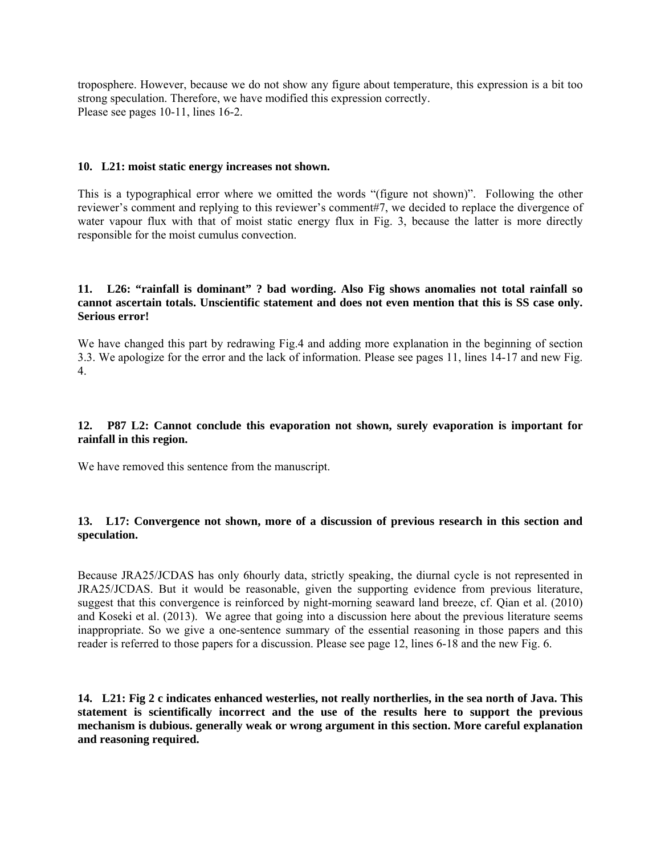troposphere. However, because we do not show any figure about temperature, this expression is a bit too strong speculation. Therefore, we have modified this expression correctly. Please see pages 10-11, lines 16-2.

#### **10. L21: moist static energy increases not shown.**

This is a typographical error where we omitted the words "(figure not shown)". Following the other reviewer's comment and replying to this reviewer's comment#7, we decided to replace the divergence of water vapour flux with that of moist static energy flux in Fig. 3, because the latter is more directly responsible for the moist cumulus convection.

#### **11. L26: "rainfall is dominant" ? bad wording. Also Fig shows anomalies not total rainfall so cannot ascertain totals. Unscientific statement and does not even mention that this is SS case only. Serious error!**

We have changed this part by redrawing Fig.4 and adding more explanation in the beginning of section 3.3. We apologize for the error and the lack of information. Please see pages 11, lines 14-17 and new Fig. 4.

# **12. P87 L2: Cannot conclude this evaporation not shown, surely evaporation is important for rainfall in this region.**

We have removed this sentence from the manuscript.

# **13. L17: Convergence not shown, more of a discussion of previous research in this section and speculation.**

Because JRA25/JCDAS has only 6hourly data, strictly speaking, the diurnal cycle is not represented in JRA25/JCDAS. But it would be reasonable, given the supporting evidence from previous literature, suggest that this convergence is reinforced by night-morning seaward land breeze, cf. Qian et al. (2010) and Koseki et al. (2013). We agree that going into a discussion here about the previous literature seems inappropriate. So we give a one-sentence summary of the essential reasoning in those papers and this reader is referred to those papers for a discussion. Please see page 12, lines 6-18 and the new Fig. 6.

**14. L21: Fig 2 c indicates enhanced westerlies, not really northerlies, in the sea north of Java. This statement is scientifically incorrect and the use of the results here to support the previous mechanism is dubious. generally weak or wrong argument in this section. More careful explanation and reasoning required.**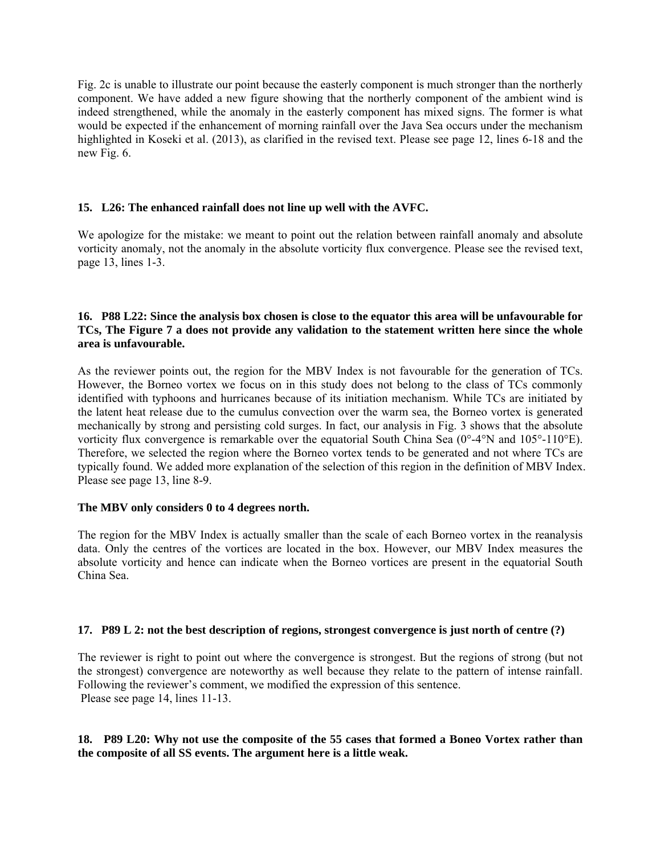Fig. 2c is unable to illustrate our point because the easterly component is much stronger than the northerly component. We have added a new figure showing that the northerly component of the ambient wind is indeed strengthened, while the anomaly in the easterly component has mixed signs. The former is what would be expected if the enhancement of morning rainfall over the Java Sea occurs under the mechanism highlighted in Koseki et al. (2013), as clarified in the revised text. Please see page 12, lines 6-18 and the new Fig. 6.

# **15. L26: The enhanced rainfall does not line up well with the AVFC.**

We apologize for the mistake: we meant to point out the relation between rainfall anomaly and absolute vorticity anomaly, not the anomaly in the absolute vorticity flux convergence. Please see the revised text, page 13, lines 1-3.

# **16. P88 L22: Since the analysis box chosen is close to the equator this area will be unfavourable for TCs, The Figure 7 a does not provide any validation to the statement written here since the whole area is unfavourable.**

As the reviewer points out, the region for the MBV Index is not favourable for the generation of TCs. However, the Borneo vortex we focus on in this study does not belong to the class of TCs commonly identified with typhoons and hurricanes because of its initiation mechanism. While TCs are initiated by the latent heat release due to the cumulus convection over the warm sea, the Borneo vortex is generated mechanically by strong and persisting cold surges. In fact, our analysis in Fig. 3 shows that the absolute vorticity flux convergence is remarkable over the equatorial South China Sea (0°-4°N and 105°-110°E). Therefore, we selected the region where the Borneo vortex tends to be generated and not where TCs are typically found. We added more explanation of the selection of this region in the definition of MBV Index. Please see page 13, line 8-9.

# **The MBV only considers 0 to 4 degrees north.**

The region for the MBV Index is actually smaller than the scale of each Borneo vortex in the reanalysis data. Only the centres of the vortices are located in the box. However, our MBV Index measures the absolute vorticity and hence can indicate when the Borneo vortices are present in the equatorial South China Sea.

# **17. P89 L 2: not the best description of regions, strongest convergence is just north of centre (?)**

The reviewer is right to point out where the convergence is strongest. But the regions of strong (but not the strongest) convergence are noteworthy as well because they relate to the pattern of intense rainfall. Following the reviewer's comment, we modified the expression of this sentence. Please see page 14, lines 11-13.

# **18. P89 L20: Why not use the composite of the 55 cases that formed a Boneo Vortex rather than the composite of all SS events. The argument here is a little weak.**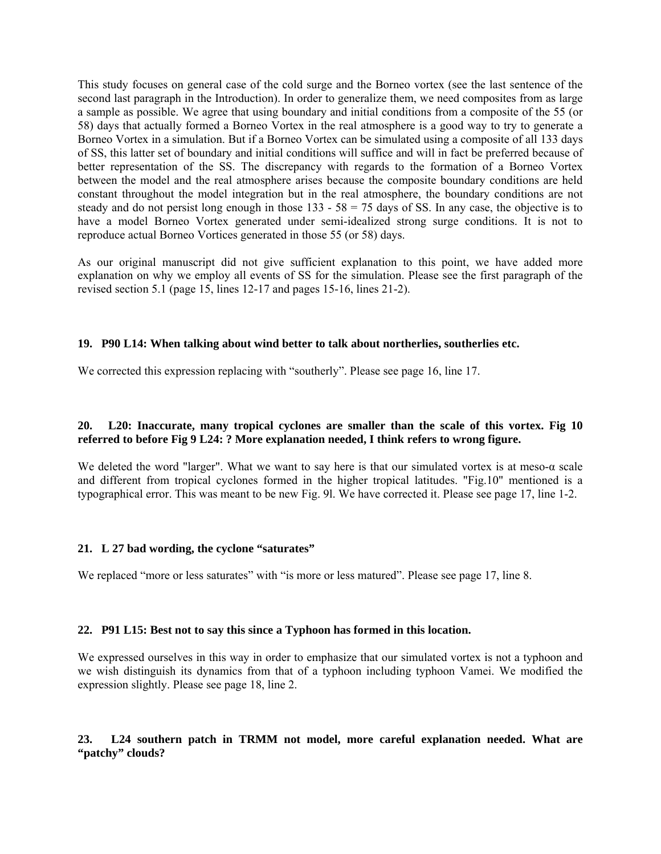This study focuses on general case of the cold surge and the Borneo vortex (see the last sentence of the second last paragraph in the Introduction). In order to generalize them, we need composites from as large a sample as possible. We agree that using boundary and initial conditions from a composite of the 55 (or 58) days that actually formed a Borneo Vortex in the real atmosphere is a good way to try to generate a Borneo Vortex in a simulation. But if a Borneo Vortex can be simulated using a composite of all 133 days of SS, this latter set of boundary and initial conditions will suffice and will in fact be preferred because of better representation of the SS. The discrepancy with regards to the formation of a Borneo Vortex between the model and the real atmosphere arises because the composite boundary conditions are held constant throughout the model integration but in the real atmosphere, the boundary conditions are not steady and do not persist long enough in those  $133 - 58 = 75$  days of SS. In any case, the objective is to have a model Borneo Vortex generated under semi-idealized strong surge conditions. It is not to reproduce actual Borneo Vortices generated in those 55 (or 58) days.

As our original manuscript did not give sufficient explanation to this point, we have added more explanation on why we employ all events of SS for the simulation. Please see the first paragraph of the revised section 5.1 (page 15, lines 12-17 and pages 15-16, lines 21-2).

# **19. P90 L14: When talking about wind better to talk about northerlies, southerlies etc.**

We corrected this expression replacing with "southerly". Please see page 16, line 17.

# **20. L20: Inaccurate, many tropical cyclones are smaller than the scale of this vortex. Fig 10 referred to before Fig 9 L24: ? More explanation needed, I think refers to wrong figure.**

We deleted the word "larger". What we want to say here is that our simulated vortex is at meso- $\alpha$  scale and different from tropical cyclones formed in the higher tropical latitudes. "Fig.10" mentioned is a typographical error. This was meant to be new Fig. 9l. We have corrected it. Please see page 17, line 1-2.

# **21. L 27 bad wording, the cyclone "saturates"**

We replaced "more or less saturates" with "is more or less matured". Please see page 17, line 8.

#### **22. P91 L15: Best not to say this since a Typhoon has formed in this location.**

We expressed ourselves in this way in order to emphasize that our simulated vortex is not a typhoon and we wish distinguish its dynamics from that of a typhoon including typhoon Vamei. We modified the expression slightly. Please see page 18, line 2.

# **23. L24 southern patch in TRMM not model, more careful explanation needed. What are "patchy" clouds?**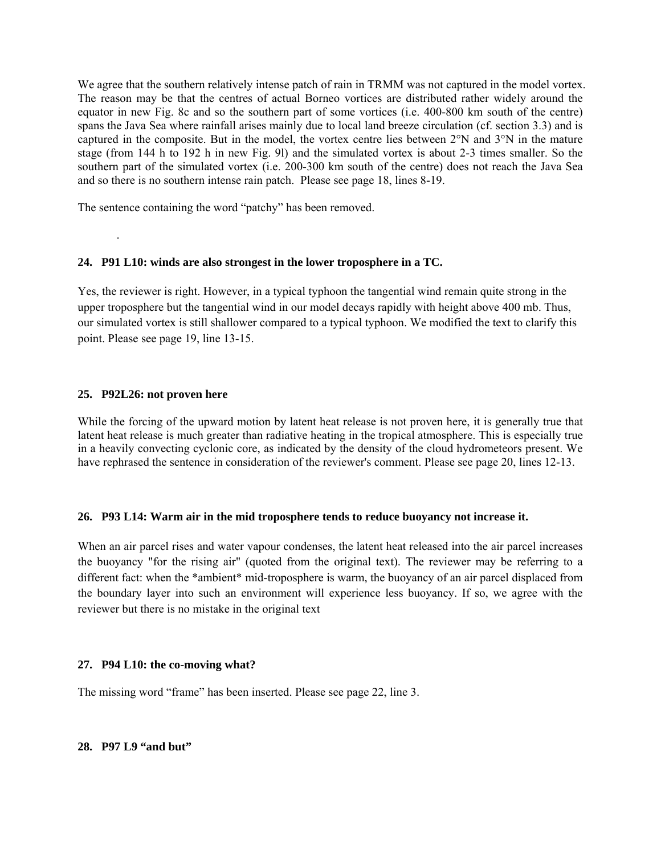We agree that the southern relatively intense patch of rain in TRMM was not captured in the model vortex. The reason may be that the centres of actual Borneo vortices are distributed rather widely around the equator in new Fig. 8c and so the southern part of some vortices (i.e. 400-800 km south of the centre) spans the Java Sea where rainfall arises mainly due to local land breeze circulation (cf. section 3.3) and is captured in the composite. But in the model, the vortex centre lies between 2°N and 3°N in the mature stage (from 144 h to 192 h in new Fig. 9l) and the simulated vortex is about 2-3 times smaller. So the southern part of the simulated vortex (i.e. 200-300 km south of the centre) does not reach the Java Sea and so there is no southern intense rain patch. Please see page 18, lines 8-19.

The sentence containing the word "patchy" has been removed.

# **24. P91 L10: winds are also strongest in the lower troposphere in a TC.**

Yes, the reviewer is right. However, in a typical typhoon the tangential wind remain quite strong in the upper troposphere but the tangential wind in our model decays rapidly with height above 400 mb. Thus, our simulated vortex is still shallower compared to a typical typhoon. We modified the text to clarify this point. Please see page 19, line 13-15.

#### **25. P92L26: not proven here**

.

While the forcing of the upward motion by latent heat release is not proven here, it is generally true that latent heat release is much greater than radiative heating in the tropical atmosphere. This is especially true in a heavily convecting cyclonic core, as indicated by the density of the cloud hydrometeors present. We have rephrased the sentence in consideration of the reviewer's comment. Please see page 20, lines 12-13.

# **26. P93 L14: Warm air in the mid troposphere tends to reduce buoyancy not increase it.**

When an air parcel rises and water vapour condenses, the latent heat released into the air parcel increases the buoyancy "for the rising air" (quoted from the original text). The reviewer may be referring to a different fact: when the \*ambient\* mid-troposphere is warm, the buoyancy of an air parcel displaced from the boundary layer into such an environment will experience less buoyancy. If so, we agree with the reviewer but there is no mistake in the original text

#### **27. P94 L10: the co-moving what?**

The missing word "frame" has been inserted. Please see page 22, line 3.

#### **28. P97 L9 "and but"**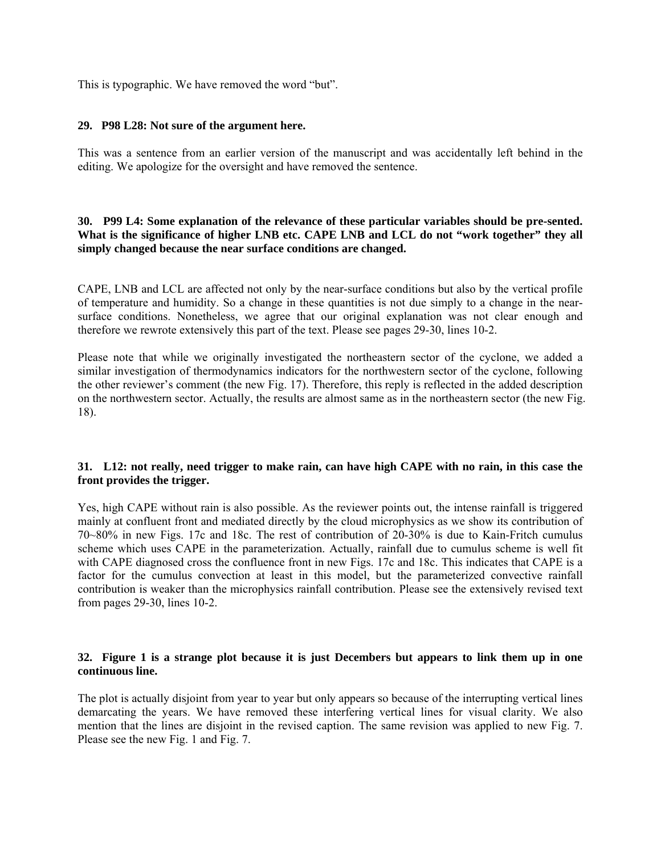This is typographic. We have removed the word "but".

#### **29. P98 L28: Not sure of the argument here.**

This was a sentence from an earlier version of the manuscript and was accidentally left behind in the editing. We apologize for the oversight and have removed the sentence.

# **30. P99 L4: Some explanation of the relevance of these particular variables should be pre-sented. What is the significance of higher LNB etc. CAPE LNB and LCL do not "work together" they all simply changed because the near surface conditions are changed.**

CAPE, LNB and LCL are affected not only by the near-surface conditions but also by the vertical profile of temperature and humidity. So a change in these quantities is not due simply to a change in the nearsurface conditions. Nonetheless, we agree that our original explanation was not clear enough and therefore we rewrote extensively this part of the text. Please see pages 29-30, lines 10-2.

Please note that while we originally investigated the northeastern sector of the cyclone, we added a similar investigation of thermodynamics indicators for the northwestern sector of the cyclone, following the other reviewer's comment (the new Fig. 17). Therefore, this reply is reflected in the added description on the northwestern sector. Actually, the results are almost same as in the northeastern sector (the new Fig. 18).

# **31. L12: not really, need trigger to make rain, can have high CAPE with no rain, in this case the front provides the trigger.**

Yes, high CAPE without rain is also possible. As the reviewer points out, the intense rainfall is triggered mainly at confluent front and mediated directly by the cloud microphysics as we show its contribution of 70~80% in new Figs. 17c and 18c. The rest of contribution of 20-30% is due to Kain-Fritch cumulus scheme which uses CAPE in the parameterization. Actually, rainfall due to cumulus scheme is well fit with CAPE diagnosed cross the confluence front in new Figs. 17c and 18c. This indicates that CAPE is a factor for the cumulus convection at least in this model, but the parameterized convective rainfall contribution is weaker than the microphysics rainfall contribution. Please see the extensively revised text from pages 29-30, lines 10-2.

#### **32. Figure 1 is a strange plot because it is just Decembers but appears to link them up in one continuous line.**

The plot is actually disjoint from year to year but only appears so because of the interrupting vertical lines demarcating the years. We have removed these interfering vertical lines for visual clarity. We also mention that the lines are disjoint in the revised caption. The same revision was applied to new Fig. 7. Please see the new Fig. 1 and Fig. 7.